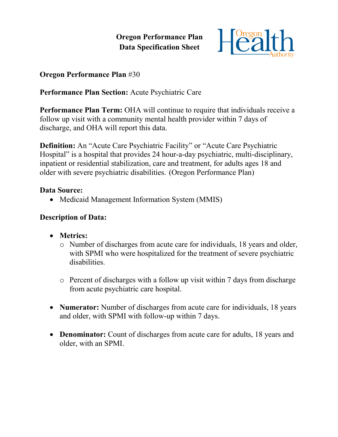**Oregon Performance Plan Data Specification Sheet**



### **Oregon Performance Plan** #30

## **Performance Plan Section:** Acute Psychiatric Care

**Performance Plan Term:** OHA will continue to require that individuals receive a follow up visit with a community mental health provider within 7 days of discharge, and OHA will report this data.

**Definition:** An "Acute Care Psychiatric Facility" or "Acute Care Psychiatric Hospital" is a hospital that provides 24 hour-a-day psychiatric, multi-disciplinary, inpatient or residential stabilization, care and treatment, for adults ages 18 and older with severe psychiatric disabilities. (Oregon Performance Plan)

#### **Data Source:**

• Medicaid Management Information System (MMIS)

#### **Description of Data:**

- **Metrics:**
	- o Number of discharges from acute care for individuals, 18 years and older, with SPMI who were hospitalized for the treatment of severe psychiatric disabilities.
	- o Percent of discharges with a follow up visit within 7 days from discharge from acute psychiatric care hospital.
- **Numerator:** Number of discharges from acute care for individuals, 18 years and older, with SPMI with follow-up within 7 days.
- **Denominator:** Count of discharges from acute care for adults, 18 years and older, with an SPMI.